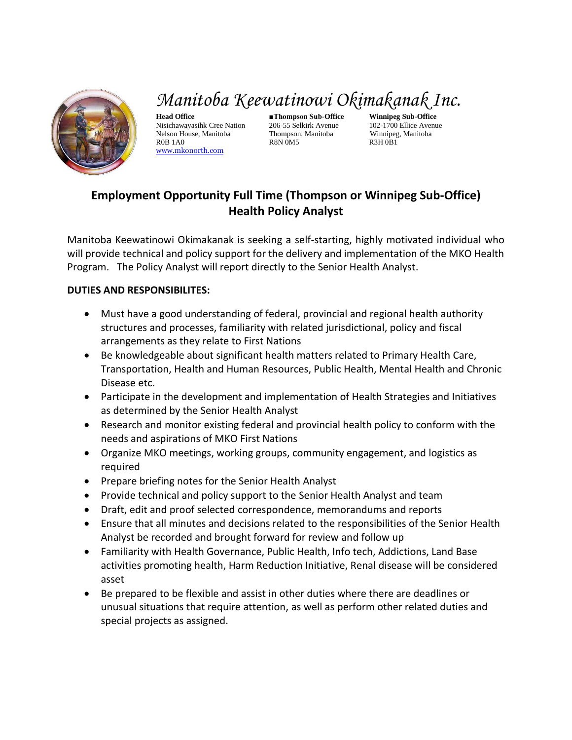

## *Manitoba Keewatinowi Okimakanak Inc.*

**Head Office ■Thompson Sub-Office Winnipeg Sub-Office** Nisichawayasihk Cree Nation 206-55 Selkirk Avenue 102-1700 Ellice Avenue Nelson House, Manitoba Thompson, Manitoba Winnipeg, Manitoba R0B 1A0 R8N 0M5 R3H 0B1 [www.mkonorth.com](http://www.mkonorth.com/)

## **Employment Opportunity Full Time (Thompson or Winnipeg Sub-Office) Health Policy Analyst**

Manitoba Keewatinowi Okimakanak is seeking a self-starting, highly motivated individual who will provide technical and policy support for the delivery and implementation of the MKO Health Program. The Policy Analyst will report directly to the Senior Health Analyst.

## **DUTIES AND RESPONSIBILITES:**

- Must have a good understanding of federal, provincial and regional health authority structures and processes, familiarity with related jurisdictional, policy and fiscal arrangements as they relate to First Nations
- Be knowledgeable about significant health matters related to Primary Health Care, Transportation, Health and Human Resources, Public Health, Mental Health and Chronic Disease etc.
- Participate in the development and implementation of Health Strategies and Initiatives as determined by the Senior Health Analyst
- Research and monitor existing federal and provincial health policy to conform with the needs and aspirations of MKO First Nations
- Organize MKO meetings, working groups, community engagement, and logistics as required
- Prepare briefing notes for the Senior Health Analyst
- Provide technical and policy support to the Senior Health Analyst and team
- Draft, edit and proof selected correspondence, memorandums and reports
- Ensure that all minutes and decisions related to the responsibilities of the Senior Health Analyst be recorded and brought forward for review and follow up
- Familiarity with Health Governance, Public Health, Info tech, Addictions, Land Base activities promoting health, Harm Reduction Initiative, Renal disease will be considered asset
- Be prepared to be flexible and assist in other duties where there are deadlines or unusual situations that require attention, as well as perform other related duties and special projects as assigned.